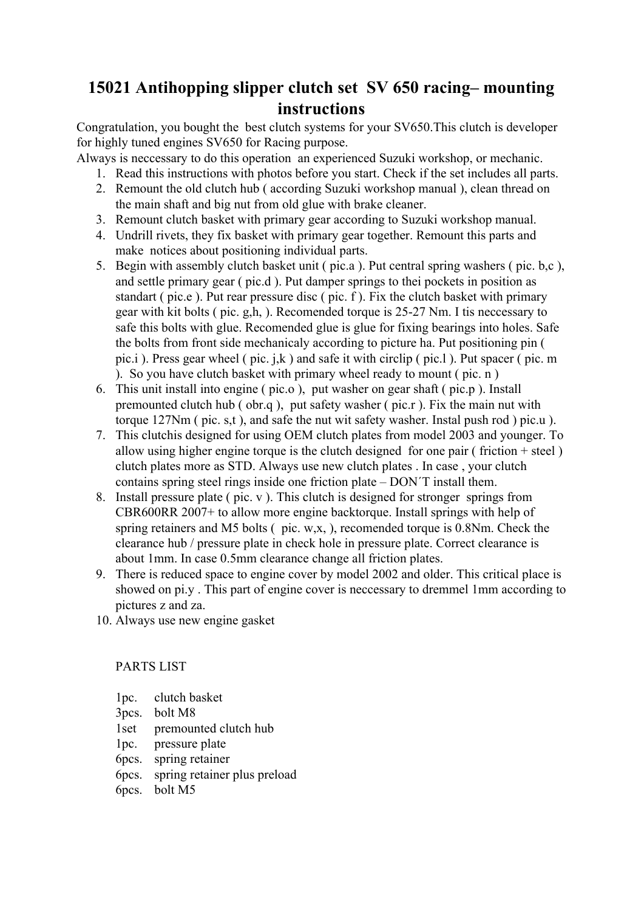## **15021 Antihopping slipper clutch set SV 650 racing– mounting instructions**

Congratulation, you bought the best clutch systems for your SV650.This clutch is developer for highly tuned engines SV650 for Racing purpose.

Always is neccessary to do this operation an experienced Suzuki workshop, or mechanic.

- 1. Read this instructions with photos before you start. Check if the set includes all parts.
- 2. Remount the old clutch hub ( according Suzuki workshop manual ), clean thread on the main shaft and big nut from old glue with brake cleaner.
- 3. Remount clutch basket with primary gear according to Suzuki workshop manual.
- 4. Undrill rivets, they fix basket with primary gear together. Remount this parts and make notices about positioning individual parts.
- 5. Begin with assembly clutch basket unit ( pic.a ). Put central spring washers ( pic. b,c ), and settle primary gear ( pic.d ). Put damper springs to thei pockets in position as standart ( pic.e ). Put rear pressure disc ( pic. f ). Fix the clutch basket with primary gear with kit bolts ( pic. g,h, ). Recomended torque is 25-27 Nm. I tis neccessary to safe this bolts with glue. Recomended glue is glue for fixing bearings into holes. Safe the bolts from front side mechanicaly according to picture ha. Put positioning pin ( pic.i ). Press gear wheel ( pic. j,k ) and safe it with circlip ( pic.l ). Put spacer ( pic. m ). So you have clutch basket with primary wheel ready to mount ( pic. n )
- 6. This unit install into engine ( pic.o ), put washer on gear shaft ( pic.p ). Install premounted clutch hub ( obr.q ), put safety washer ( pic.r ). Fix the main nut with torque 127Nm ( pic. s,t ), and safe the nut wit safety washer. Instal push rod ) pic.u ).
- 7. This clutchis designed for using OEM clutch plates from model 2003 and younger. To allow using higher engine torque is the clutch designed for one pair (friction  $+$  steel) clutch plates more as STD. Always use new clutch plates . In case , your clutch contains spring steel rings inside one friction plate – DON´T install them.
- 8. Install pressure plate ( pic. v ). This clutch is designed for stronger springs from CBR600RR 2007+ to allow more engine backtorque. Install springs with help of spring retainers and M5 bolts ( pic. w,x, ), recomended torque is 0.8Nm. Check the clearance hub / pressure plate in check hole in pressure plate. Correct clearance is about 1mm. In case 0.5mm clearance change all friction plates.
- 9. There is reduced space to engine cover by model 2002 and older. This critical place is showed on pi.y . This part of engine cover is neccessary to dremmel 1mm according to pictures z and za.
- 10. Always use new engine gasket

PARTS LIST

- 1pc. clutch basket
- 3pcs. bolt M8
- 1set premounted clutch hub
- 1pc. pressure plate
- 6pcs. spring retainer
- 6pcs. spring retainer plus preload
- 6pcs. bolt M5